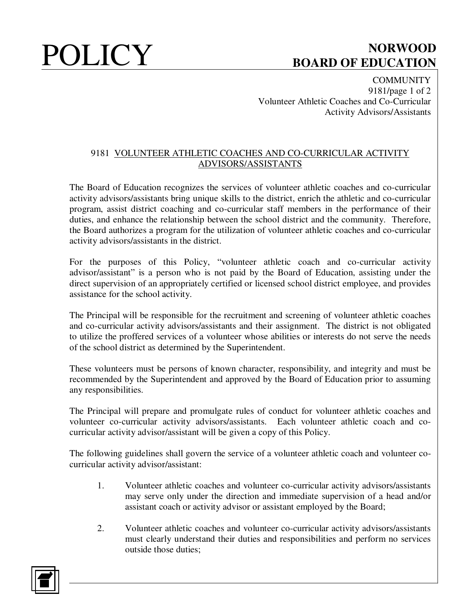## **POLICY** BOARD OF EDUCATION **BOARD OF EDUCATION**

**COMMUNITY** 9181/page 1 of 2 Volunteer Athletic Coaches and Co-Curricular Activity Advisors/Assistants

### 9181 VOLUNTEER ATHLETIC COACHES AND CO-CURRICULAR ACTIVITY ADVISORS/ASSISTANTS

The Board of Education recognizes the services of volunteer athletic coaches and co-curricular activity advisors/assistants bring unique skills to the district, enrich the athletic and co-curricular program, assist district coaching and co-curricular staff members in the performance of their duties, and enhance the relationship between the school district and the community. Therefore, the Board authorizes a program for the utilization of volunteer athletic coaches and co-curricular activity advisors/assistants in the district.

For the purposes of this Policy, "volunteer athletic coach and co-curricular activity advisor/assistant" is a person who is not paid by the Board of Education, assisting under the direct supervision of an appropriately certified or licensed school district employee, and provides assistance for the school activity.

The Principal will be responsible for the recruitment and screening of volunteer athletic coaches and co-curricular activity advisors/assistants and their assignment. The district is not obligated to utilize the proffered services of a volunteer whose abilities or interests do not serve the needs of the school district as determined by the Superintendent.

These volunteers must be persons of known character, responsibility, and integrity and must be recommended by the Superintendent and approved by the Board of Education prior to assuming any responsibilities.

The Principal will prepare and promulgate rules of conduct for volunteer athletic coaches and volunteer co-curricular activity advisors/assistants. Each volunteer athletic coach and cocurricular activity advisor/assistant will be given a copy of this Policy.

The following guidelines shall govern the service of a volunteer athletic coach and volunteer cocurricular activity advisor/assistant:

- 1. Volunteer athletic coaches and volunteer co-curricular activity advisors/assistants may serve only under the direction and immediate supervision of a head and/or assistant coach or activity advisor or assistant employed by the Board;
- 2. Volunteer athletic coaches and volunteer co-curricular activity advisors/assistants must clearly understand their duties and responsibilities and perform no services outside those duties;